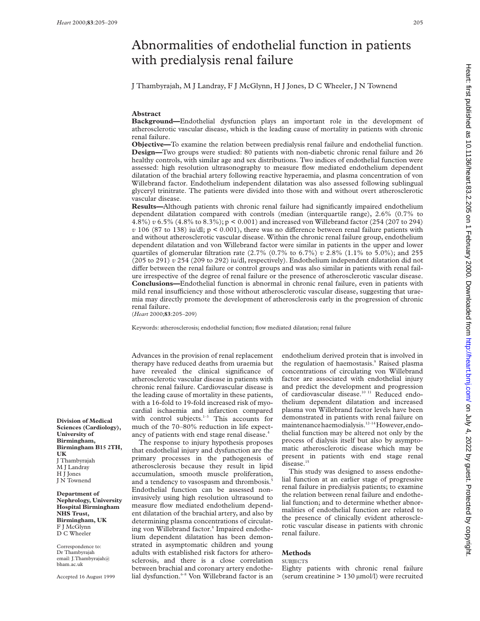# Abnormalities of endothelial function in patients with predialysis renal failure

J Thambyrajah, M J Landray, F J McGlynn, H J Jones, D C Wheeler, J N Townend

# **Abstract**

**Background—**Endothelial dysfunction plays an important role in the development of atherosclerotic vascular disease, which is the leading cause of mortality in patients with chronic renal failure.

**Objective—**To examine the relation between predialysis renal failure and endothelial function. **Design—**Two groups were studied: 80 patients with non-diabetic chronic renal failure and 26 healthy controls, with similar age and sex distributions. Two indices of endothelial function were assessed: high resolution ultrasonography to measure flow mediated endothelium dependent dilatation of the brachial artery following reactive hyperaemia, and plasma concentration of von Willebrand factor. Endothelium independent dilatation was also assessed following sublingual glyceryl trinitrate. The patients were divided into those with and without overt atherosclerotic vascular disease.

**Results—**Although patients with chronic renal failure had significantly impaired endothelium dependent dilatation compared with controls (median (interquartile range), 2.6% (0.7% to 4.8%) *v* 6.5% (4.8% to 8.3%); p < 0.001) and increased von Willebrand factor (254 (207 to 294)  $v$  106 (87 to 138) iu/dl;  $p < 0.001$ ), there was no difference between renal failure patients with and without atherosclerotic vascular disease. Within the chronic renal failure group, endothelium dependent dilatation and von Willebrand factor were similar in patients in the upper and lower quartiles of glomerular filtration rate (2.7% (0.7% to 6.7%) *v* 2.8% (1.1% to 5.0%); and 255 (205 to 291) *v* 254 (209 to 292) iu/dl, respectively). Endothelium independent dilatation did not differ between the renal failure or control groups and was also similar in patients with renal failure irrespective of the degree of renal failure or the presence of atherosclerotic vascular disease. **Conclusions—**Endothelial function is abnormal in chronic renal failure, even in patients with mild renal insufficiency and those without atherosclerotic vascular disease, suggesting that uraemia may directly promote the development of atherosclerosis early in the progression of chronic renal failure.

(*Heart* 2000;**83**:205–209)

Keywords: atherosclerosis; endothelial function; flow mediated dilatation; renal failure

Advances in the provision of renal replacement therapy have reduced deaths from uraemia but have revealed the clinical significance of atherosclerotic vascular disease in patients with chronic renal failure. Cardiovascular disease is the leading cause of mortality in these patients, with a 16-fold to 19-fold increased risk of myocardial ischaemia and infarction compared with control subjects. $1-3$  This accounts for much of the 70–80% reduction in life expectancy of patients with end stage renal disease.<sup>4</sup>

The response to injury hypothesis proposes that endothelial injury and dysfunction are the primary processes in the pathogenesis of atherosclerosis because they result in lipid accumulation, smooth muscle proliferation, and a tendency to vasospasm and thrombosis.<sup>5</sup> Endothelial function can be assessed noninvasively using high resolution ultrasound to measure flow mediated endothelium dependent dilatation of the brachial artery, and also by determining plasma concentrations of circulating von Willebrand factor.<sup>6</sup> Impaired endothelium dependent dilatation has been demonstrated in asymptomatic children and young adults with established risk factors for atherosclerosis, and there is a close correlation between brachial and coronary artery endothelial dysfunction.<sup>6–8</sup> Von Willebrand factor is an

endothelium derived protein that is involved in the regulation of haemostasis.<sup>9</sup> Raised plasma concentrations of circulating von Willebrand factor are associated with endothelial injury and predict the development and progression of cardiovascular disease.<sup>10 11</sup> Reduced endothelium dependent dilatation and increased plasma von Willebrand factor levels have been demonstrated in patients with renal failure on maintenance haemodialysis.<sup>12–14</sup>However, endothelial function may be altered not only by the process of dialysis itself but also by asymptomatic atherosclerotic disease which may be present in patients with end stage renal disease.<sup>15</sup>

This study was designed to assess endothelial function at an earlier stage of progressive renal failure in predialysis patients; to examine the relation between renal failure and endothelial function; and to determine whether abnormalities of endothelial function are related to the presence of clinically evident atherosclerotic vascular disease in patients with chronic renal failure.

# **Methods**

**SUBJECTS** 

Eighty patients with chronic renal failure (serum creatinine > 130 µmol/l) were recruited

**Division of Medical Sciences (Cardiology), University of Birmingham, Birmingham B15 2TH, UK** J Thambyrajah M J Landray H J Jones J N Townend

**Department of Nephrology, University Hospital Birmingham NHS Trust, Birmingham, UK** F J McGlynn D C Wheeler

Correspondence to: Dr Thambyrajah email: J.Thambyrajah@ bham.ac.uk

Accepted 16 August 1999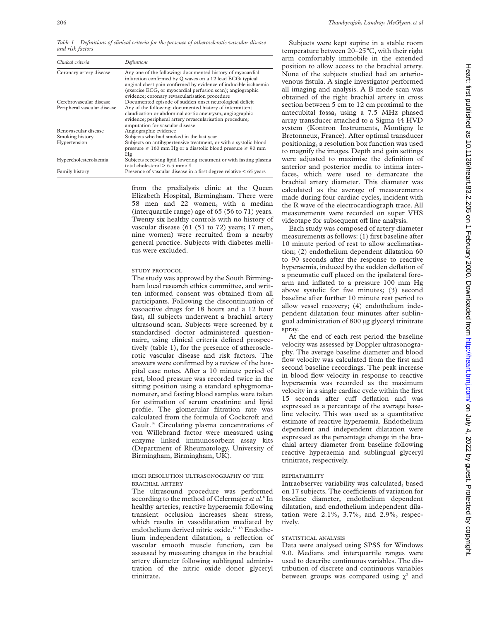*Table 1 Definitions of clinical criteria for the presence of atherosclerotic vascular disease and risk factors*

| Clinical criteria                                       | Definitions                                                                                                                                                                                                                                                                                                |
|---------------------------------------------------------|------------------------------------------------------------------------------------------------------------------------------------------------------------------------------------------------------------------------------------------------------------------------------------------------------------|
| Coronary artery disease                                 | Any one of the following: documented history of myocardial<br>infarction confirmed by Q waves on a 12 lead ECG; typical<br>anginal chest pain confirmed by evidence of inducible ischaemia<br>(exercise ECG, or myocardial perfusion scan); angiographic<br>evidence; coronary revascularisation procedure |
| Cerebrovascular disease<br>Peripheral vascular disease  | Documented episode of sudden onset neurological deficit<br>Any of the following: documented history of intermittent<br>claudication or abdominal aortic aneurysm; angiographic<br>evidence; peripheral artery revascularisation procedure;<br>amputation for vascular disease                              |
| Renovascular disease<br>Smoking history<br>Hypertension | Angiographic evidence<br>Subjects who had smoked in the last year<br>Subjects on antihypertensive treatment, or with a systolic blood                                                                                                                                                                      |
| Hypercholesterolaemia<br>Family history                 | pressure $\geq 160$ mm Hg or a diastolic blood pressure $\geq 90$ mm<br>Hg<br>Subjects receiving lipid lowering treatment or with fasting plasma<br>total cholesterol $> 6.5$ mmol/l<br>Presence of vascular disease in a first degree relative $\leq 65$ years                                            |

from the predialysis clinic at the Queen Elizabeth Hospital, Birmingham. There were 58 men and 22 women, with a median (interquartile range) age of 65 (56 to 71) years. Twenty six healthy controls with no history of vascular disease (61 (51 to 72) years; 17 men, nine women) were recruited from a nearby general practice. Subjects with diabetes mellitus were excluded.

### STUDY PROTOCOL

The study was approved by the South Birmingham local research ethics committee, and written informed consent was obtained from all participants. Following the discontinuation of vasoactive drugs for 18 hours and a 12 hour fast, all subjects underwent a brachial artery ultrasound scan. Subjects were screened by a standardised doctor administered questionnaire, using clinical criteria defined prospectively (table 1), for the presence of atherosclerotic vascular disease and risk factors. The answers were confirmed by a review of the hospital case notes. After a 10 minute period of rest, blood pressure was recorded twice in the sitting position using a standard sphygmomanometer, and fasting blood samples were taken for estimation of serum creatinine and lipid profile. The glomerular filtration rate was calculated from the formula of Cockcroft and Gault.16 Circulating plasma concentrations of von Willebrand factor were measured using enzyme linked immunosorbent assay kits (Department of Rheumatology, University of Birmingham, Birmingham, UK).

## HIGH RESOLUTION ULTRASONOGRAPHY OF THE BRACHIAL ARTERY

The ultrasound procedure was performed according to the method of Celermajer *et al*. <sup>6</sup> In healthy arteries, reactive hyperaemia following transient occlusion increases shear stress, which results in vasodilatation mediated by endothelium derived nitric oxide.<sup>17 18</sup> Endothelium independent dilatation, a reflection of vascular smooth muscle function, can be assessed by measuring changes in the brachial artery diameter following sublingual administration of the nitric oxide donor glyceryl trinitrate.

Subjects were kept supine in a stable room temperature between 20–25°C, with their right arm comfortably immobile in the extended position to allow access to the brachial artery. None of the subjects studied had an arteriovenous fistula. A single investigator performed all imaging and analysis. A B mode scan was obtained of the right brachial artery in cross section between 5 cm to 12 cm proximal to the antecubital fossa, using a 7.5 MHz phased array transducer attached to a Sigma 44 HVD system (Kontron Instruments, Montigny le Bretonneux, France). After optimal transducer positioning, a resolution box function was used to magnify the images. Depth and gain settings were adjusted to maximise the definition of anterior and posterior media to intima interfaces, which were used to demarcate the brachial artery diameter. This diameter was calculated as the average of measurements made during four cardiac cycles, incident with the R wave of the electrocardiograph trace. All measurements were recorded on super VHS videotape for subsequent off line analysis.

Each study was composed of artery diameter measurements as follows: (1) first baseline after 10 minute period of rest to allow acclimatisation; (2) endothelium dependent dilatation 60 to 90 seconds after the response to reactive hyperaemia, induced by the sudden deflation of a pneumatic cuff placed on the ipsilateral forearm and inflated to a pressure 100 mm Hg above systolic for five minutes; (3) second baseline after further 10 minute rest period to allow vessel recovery; (4) endothelium independent dilatation four minutes after sublingual administration of 800 µg glyceryl trinitrate spray.

At the end of each rest period the baseline velocity was assessed by Doppler ultrasonography. The average baseline diameter and blood flow velocity was calculated from the first and second baseline recordings. The peak increase in blood flow velocity in response to reactive hyperaemia was recorded as the maximum velocity in a single cardiac cycle within the first 15 seconds after cuff deflation and was expressed as a percentage of the average baseline velocity. This was used as a quantitative estimate of reactive hyperaemia. Endothelium dependent and independent dilatation were expressed as the percentage change in the brachial artery diameter from baseline following reactive hyperaemia and sublingual glyceryl trinitrate, respectively.

#### REPEATABILITY

Intraobserver variability was calculated, based on 17 subjects. The coefficients of variation for baseline diameter, endothelium dependent dilatation, and endothelium independent dilatation were 2.1%, 3.7%, and 2.9%, respectively.

# STATISTICAL ANALYSIS

Data were analysed using SPSS for Windows 9.0. Medians and interquartile ranges were used to describe continuous variables. The distribution of discrete and continuous variables between groups was compared using  $\chi^2$  and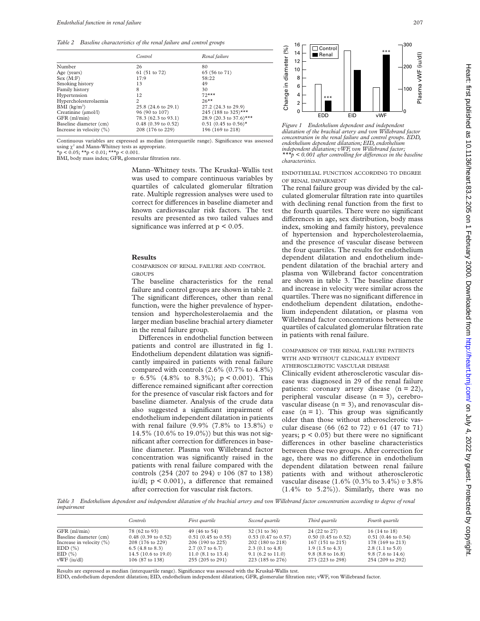*Table 2 Baseline characteristics of the renal failure and control groups*

|                             | Control               | Renal failure                      |
|-----------------------------|-----------------------|------------------------------------|
| Number                      | 26                    | 80                                 |
| Age (years)                 | 61 (51 to 72)         | 65 (56 to 71)                      |
| Sex (M:F)                   | 17:9                  | 58:22                              |
| Smoking history             | 13                    | 49                                 |
| Family history              | 8                     | 30                                 |
| Hypertension                | 12                    | $72***$                            |
| Hypercholesterolaemia       | 2                     | $26***$                            |
| BMI (kg/m <sup>2</sup> )    | 25.8 (24.6 to 29.1)   | 27.2 (24.3 to 29.9)                |
| Creatinine (µmol/l)         | 96 (90 to 107)        | 245 (188 to 325)***                |
| $GFR$ (ml/min)              | 78.3 (62.3 to 93.1)   | 28.9 (20.3 to 37.6)***             |
| Baseline diameter (cm)      | $0.48$ (0.39 to 0.52) | $0.51$ (0.45 to 0.56) <sup>*</sup> |
| Increase in velocity $(\%)$ | 208 (176 to 229)      | 196 (169 to 218)                   |

Continuous variables are expressed as median (interquartile range). Significance was assessed using  $\chi^2$  and Mann-Whitney tests as appropriate.<br>\*p < 0.05; \*\*p < 0.01; \*\*\*p < 0.001.

BMI, body mass index; GFR, glomerular filtration rate.

Mann–Whitney tests. The Kruskal–Wallis test was used to compare continuous variables by quartiles of calculated glomerular filtration rate. Multiple regression analyses were used to correct for differences in baseline diameter and known cardiovascular risk factors. The test results are presented as two tailed values and significance was inferred at  $p < 0.05$ .

## **Results**

COMPARISON OF RENAL FAILURE AND CONTROL **GROUPS** 

The baseline characteristics for the renal failure and control groups are shown in table 2. The significant differences, other than renal function, were the higher prevalence of hypertension and hypercholesterolaemia and the larger median baseline brachial artery diameter in the renal failure group.

Differences in endothelial function between patients and control are illustrated in fig 1. Endothelium dependent dilatation was significantly impaired in patients with renal failure compared with controls (2.6% (0.7% to 4.8%) *v* 6.5% (4.8% to 8.3%); p < 0.001). This difference remained significant after correction for the presence of vascular risk factors and for baseline diameter. Analysis of the crude data also suggested a significant impairment of endothelium independent dilatation in patients with renal failure (9.9% (7.8% to 13.8%) *v* 14.5% (10.6% to 19.0%)) but this was not significant after correction for differences in baseline diameter. Plasma von Willebrand factor concentration was significantly raised in the patients with renal failure compared with the controls (254 (207 to 294) *v* 106 (87 to 138) iu/dl;  $p < 0.001$ ), a difference that remained after correction for vascular risk factors.



*Figure 1 Endothelium dependent and independent dilatation of the brachial artery and von Willebrand factor concentration in the renal failure and control groups. EDD, endothelium dependent dilatation; EID, endothelium independent dilatation; vWF, von Willebrand factor;* \*\*\*p < 0.001 after controlling for differences in the baseline *characteristics.*

ENDOTHELIAL FUNCTION ACCORDING TO DEGREE OF RENAL IMPAIRMENT

The renal failure group was divided by the calculated glomerular filtration rate into quartiles with declining renal function from the first to the fourth quartiles. There were no significant differences in age, sex distribution, body mass index, smoking and family history, prevalence of hypertension and hypercholesterolaemia, and the presence of vascular disease between the four quartiles. The results for endothelium dependent dilatation and endothelium independent dilatation of the brachial artery and plasma von Willebrand factor concentration are shown in table 3. The baseline diameter and increase in velocity were similar across the quartiles. There was no significant difference in endothelium dependent dilatation, endothelium independent dilatation, or plasma von Willebrand factor concentrations between the quartiles of calculated glomerular filtration rate in patients with renal failure.

# COMPARISON OF THE RENAL FAILURE PATIENTS WITH AND WITHOUT CLINICALLY EVIDENT ATHEROSCLEROTIC VASCULAR DISEASE

Clinically evident atherosclerotic vascular disease was diagnosed in 29 of the renal failure patients: coronary artery disease (n = 22), peripheral vascular disease (n = 3), cerebrovascular disease  $(n = 3)$ , and renovascular disease  $(n = 1)$ . This group was significantly older than those without atherosclerotic vascular disease (66 (62 to 72) *v* 61 (47 to 71) years;  $p < 0.05$ ) but there were no significant differences in other baseline characteristics between these two groups. After correction for age, there was no difference in endothelium dependent dilatation between renal failure patients with and without atherosclerotic vascular disease (1.6% (0.3% to 3.4%) *v* 3.8%  $(1.4\%$  to 5.2%)). Similarly, there was no

*Table 3 Endothelium dependent and independent dilatation of the brachial artery and von Willebrand factor concentration according to degree of renal impairment*

|                             | <i>Controls</i>                | First quartile                | Second quartile               | Third quartile             | Fourth quartile             |
|-----------------------------|--------------------------------|-------------------------------|-------------------------------|----------------------------|-----------------------------|
| GFR (ml/min)                | 78 (62 to 93)                  | $49(46 \text{ to } 54)$       | $32(31 \text{ to } 36)$       | 24 (22 to 27)              | $16(14 \text{ to } 18)$     |
| Baseline diameter (cm)      | $0.48(0.39)$ to $0.52$ )       | $0.51(0.45 \text{ to } 0.55)$ | $0.53(0.47 \text{ to } 0.57)$ | $0.50$ (0.45 to 0.52)      | $0.51$ (0.46 to 0.54)       |
| Increase in velocity $(\%)$ | 208 (176 to 229)               | 206 (190 to 225)              | 202 (180 to 218)              | 167 (151 to 215)           | 178 (169 to 213)            |
| $EDD$ $(\%)$                | $6.5$ (4.8 to 8.3)             | $2.7(0.7 \text{ to } 6.7)$    | $2.3(0.1 \text{ to } 4.8)$    | $1.9(1.5 \text{ to } 4.3)$ | $2.8(1.1 \text{ to } 5.0)$  |
| $EID(\%)$                   | 14.5 $(10.6 \text{ to } 19.0)$ | $11.0$ (8.1 to 13.4)          | 9.1 $(6.2 \text{ to } 11.0)$  | $9.8$ (8.8 to 16.8)        | $9.8(7.6 \text{ to } 14.6)$ |
| $vWF$ (iu/dl)               | 106 (87 to 138)                | 255 (205 to 291)              | 223 (185 to 276)              | 273 (223 to 298)           | 254 (209 to 292)            |

Results are expressed as median (interquartile range). Significance was assessed with the Kruskal-Wallis test.

EDD, endothelium dependent dilatation; EID, endothelium independent dilatation; GFR, glomerular filtration rate; vWF, von Willebrand factor.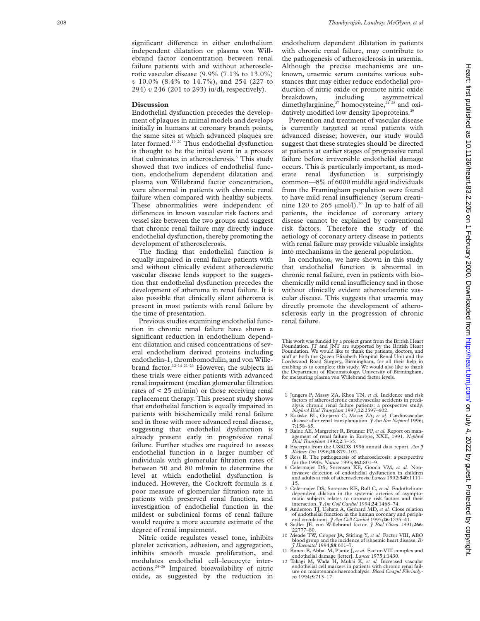significant difference in either endothelium independent dilatation or plasma von Willebrand factor concentration between renal failure patients with and without atherosclerotic vascular disease (9.9% (7.1% to 13.0%) *v* 10.0% (8.4% to 14.7%), and 254 (227 to 294) *v* 246 (201 to 293) iu/dl, respectively).

#### **Discussion**

Endothelial dysfunction precedes the development of plaques in animal models and develops initially in humans at coronary branch points, the same sites at which advanced plaques are later formed.<sup>19</sup> <sup>20</sup> Thus endothelial dysfunction is thought to be the initial event in a process that culminates in atherosclerosis. <sup>5</sup> This study showed that two indices of endothelial function, endothelium dependent dilatation and plasma von Willebrand factor concentration, were abnormal in patients with chronic renal failure when compared with healthy subjects. These abnormalities were independent of differences in known vascular risk factors and vessel size between the two groups and suggest that chronic renal failure may directly induce endothelial dysfunction, thereby promoting the development of atherosclerosis.

The finding that endothelial function is equally impaired in renal failure patients with and without clinically evident atherosclerotic vascular disease lends support to the suggestion that endothelial dysfunction precedes the development of atheroma in renal failure. It is also possible that clinically silent atheroma is present in most patients with renal failure by the time of presentation.

Previous studies examining endothelial function in chronic renal failure have shown a significant reduction in endothelium dependent dilatation and raised concentrations of several endothelium derived proteins including endothelin-1, thrombomodulin, and von Willebrand factor.<sup>12–14 21–23</sup> However, the subjects in these trials were either patients with advanced renal impairment (median glomerular filtration rates of < 25 ml/min) or those receiving renal replacement therapy. This present study shows that endothelial function is equally impaired in patients with biochemically mild renal failure and in those with more advanced renal disease, suggesting that endothelial dysfunction is already present early in progressive renal failure. Further studies are required to assess endothelial function in a larger number of individuals with glomerular filtration rates of between 50 and 80 ml/min to determine the level at which endothelial dysfunction is induced. However, the Cockroft formula is a poor measure of glomerular filtration rate in patients with preserved renal function, and investigation of endothelial function in the mildest or subclinical forms of renal failure would require a more accurate estimate of the degree of renal impairment.

Nitric oxide regulates vessel tone, inhibits platelet activation, adhesion, and aggregation, inhibits smooth muscle proliferation, and modulates endothelial cell–leucocyte interactions.24–26 Impaired bioavailability of nitric oxide, as suggested by the reduction in

endothelium dependent dilatation in patients with chronic renal failure, may contribute to the pathogenesis of atherosclerosis in uraemia. Although the precise mechanisms are unknown, uraemic serum contains various substances that may either reduce endothelial production of nitric oxide or promote nitric oxide breakdown, including asymmetrical dimethylarginine,<sup>27</sup> homocysteine,<sup>24 28</sup> and oxidatively modified low density lipoproteins.<sup>29</sup>

Prevention and treatment of vascular disease is currently targeted at renal patients with advanced disease; however, our study would suggest that these strategies should be directed at patients at earlier stages of progressive renal failure before irreversible endothelial damage occurs. This is particularly important, as moderate renal dysfunction is surprisingly common—8% of 6000 middle aged individuals from the Framingham population were found to have mild renal insufficiency (serum creatinine 120 to 265  $\mu$ mol/l).<sup>30</sup> In up to half of all patients, the incidence of coronary artery disease cannot be explained by conventional risk factors. Therefore the study of the aetiology of coronary artery disease in patients with renal failure may provide valuable insights into mechanisms in the general population.

In conclusion, we have shown in this study that endothelial function is abnormal in chronic renal failure, even in patients with biochemically mild renal insufficiency and in those without clinically evident atherosclerotic vascular disease. This suggests that uraemia may directly promote the development of atherosclerosis early in the progression of chronic renal failure.

This work was funded by a project grant from the British Heart<br>Foundation. JT and JNT are supported by the British Heart<br>Foundation. We would like to thank the patients, doctors, and<br>staff at both the Queen Elizabeth Hospi Lordswood Road Surgery, Birmingham, for all their help in enabling us to complete this study. We would also like to thank the Department of Rheumatology, University of Birmingham, for measuring plasma von Willebrand factor levels.

- 1 Jungers P, Massy ZA, Khoa TN, *et al.* Incidence and risk factors of atherosclerotic cardiovascular accidents in predialysis chronic renal failure patients: a prospective study. *Nephrol Dial Transplant* 1997;**12**:2597–602.
- 2 Kasiske BL, Guijarro C, Massy ZA, *et al.* Cardiovascular disease after renal transplantation. *J Am Soc Nephrol* 1996; **<sup>7</sup>**:158–65.
- 3 Raine AE, Margreiter R, Brunner FP, *et al.* Report on management of renal failure in Europe, XXII, 1991. *Nephrol Dial Transplant* 1992; **2**:7–35.
- 4 Excerpts from the USRDS 1996 annual data report. *Am J*
- *Kidney Dis* 1996;**28**:S79–102. 5 Ross R. The pathogenesis of atherosclerosis: a perspective for the 1990s. *Nature* 1993;**362**:801–9.
- 6 Celermajer DS, Sorensen KE, Gooch VM, *et al.* Noninvasive detection of endothelial dysfunction in children and adults at risk of atherosclerosis. *Lancet* 1992;**340**:1111– 15.
- 7 Celermajer DS, Sorensen KE, Bull C, *et al.* Endotheliumdependent dilation in the systemic arteries of asympto-matic subjects relates to coronary risk factors and their interaction. *J Am Coll Cardiol* 1994;**24**:1468–74.
- 8 Anderson TJ, Uehata A, Gerhard MD, *et al.* Close relation of endothelial function in the human coronary and periph-eral circulations. *J Am Coll Cardiol* 1995;**26**:1235–41.
- 9 Sadler JE. von Willebrand factor. *J Biol Chem* 1991;**266** : 22777–80.
- 10 Meade TW, Cooper JA, Stirling Y, *et al.* Factor VIII, ABO blood group and the incidence of ishaemic heart disease. *Br J Haematol* 1994;**88**:601–7.
- 11 Boneu B, Abbal M, Plante J, *et al.* Factor-VIII complex and endothelial damage [letter]. *Lancet* 1975;i:1430. 12 Takagi M, Wada H, Mukai K, *et al.* Increased vascular
- endothelial cell markers in patients with chronic renal failure on maintenance haemodialysis. *Blood Coagul Fibrinolysis* 1994;**5**:713–17.